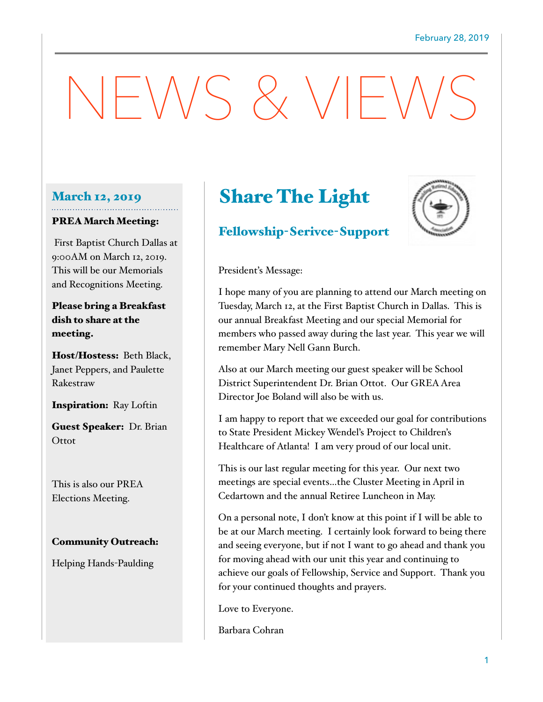# $-NSS 8 VF$

## March 12, 2019

#### PREA March Meeting:

 First Baptist Church Dallas at 9:00AM on March 12, 2019. This will be our Memorials and Recognitions Meeting.

Please bring a Breakfast dish to share at the meeting.

Host/Hostess: Beth Black, Janet Peppers, and Paulette Rakestraw

Inspiration: Ray Loftin

Guest Speaker: Dr. Brian **Ottot** 

This is also our PREA Elections Meeting.

### Community Outreach:

Helping Hands-Paulding

# Share The Light

## Fellowship-Serivce-Support



President's Message:

I hope many of you are planning to attend our March meeting on Tuesday, March 12, at the First Baptist Church in Dallas. This is our annual Breakfast Meeting and our special Memorial for members who passed away during the last year. This year we will remember Mary Nell Gann Burch.

Also at our March meeting our guest speaker will be School District Superintendent Dr. Brian Ottot. Our GREA Area Director Joe Boland will also be with us.

I am happy to report that we exceeded our goal for contributions to State President Mickey Wendel's Project to Children's Healthcare of Atlanta! I am very proud of our local unit.

This is our last regular meeting for this year. Our next two meetings are special events…the Cluster Meeting in April in Cedartown and the annual Retiree Luncheon in May.

On a personal note, I don't know at this point if I will be able to be at our March meeting. I certainly look forward to being there and seeing everyone, but if not I want to go ahead and thank you for moving ahead with our unit this year and continuing to achieve our goals of Fellowship, Service and Support. Thank you for your continued thoughts and prayers.

Love to Everyone.

Barbara Cohran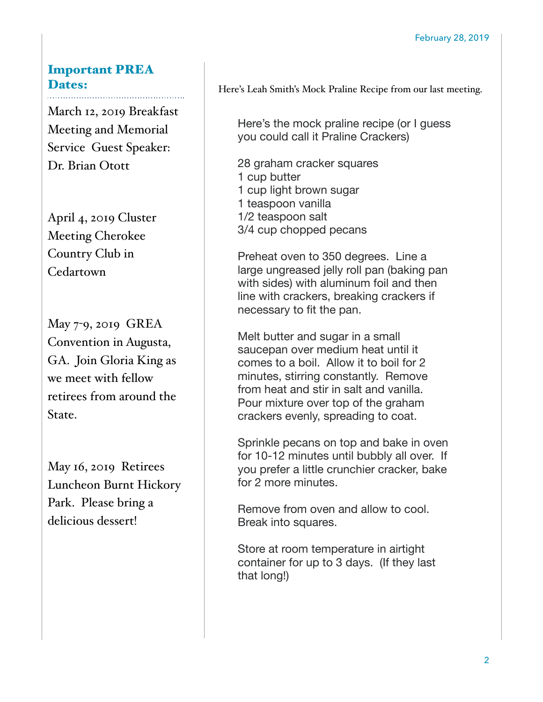# Important PREA Dates:

March 12, 2019 Breakfast Meeting and Memorial Service Guest Speaker: Dr. Brian Otott

April 4, 2019 Cluster Meeting Cherokee Country Club in Cedartown

May 7-9, 2019 GREA Convention in Augusta, GA. Join Gloria King as we meet with fellow retirees from around the State.

May 16, 2019 Retirees Luncheon Burnt Hickory Park. Please bring a delicious dessert!

Here's Leah Smith's Mock Praline Recipe from our last meeting.

Here's the mock praline recipe (or I guess you could call it Praline Crackers)

28 graham cracker squares 1 cup butter 1 cup light brown sugar 1 teaspoon vanilla 1/2 teaspoon salt 3/4 cup chopped pecans

Preheat oven to 350 degrees. Line a large ungreased jelly roll pan (baking pan with sides) with aluminum foil and then line with crackers, breaking crackers if necessary to fit the pan.

Melt butter and sugar in a small saucepan over medium heat until it comes to a boil. Allow it to boil for 2 minutes, stirring constantly. Remove from heat and stir in salt and vanilla. Pour mixture over top of the graham crackers evenly, spreading to coat.

Sprinkle pecans on top and bake in oven for 10-12 minutes until bubbly all over. If you prefer a little crunchier cracker, bake for 2 more minutes.

Remove from oven and allow to cool. Break into squares.

Store at room temperature in airtight container for up to 3 days. (If they last that long!)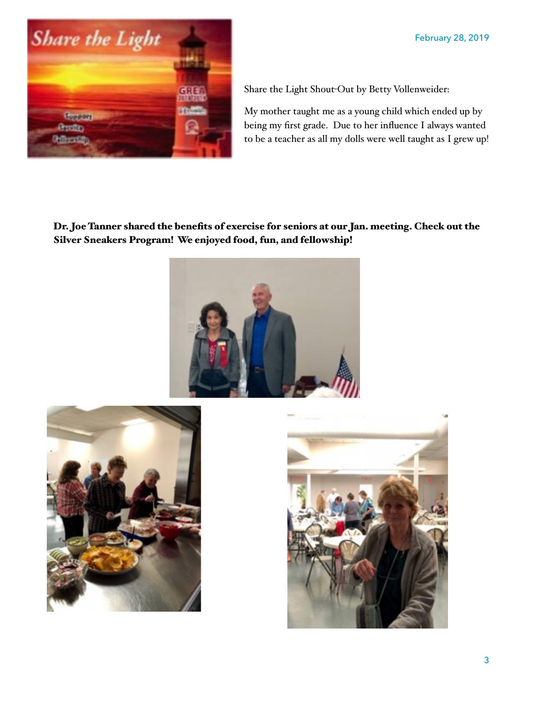

Share the Light Shout-Out by Betty Vollenweider:

My mother taught me as a young child which ended up by being my first grade. Due to her influence I always wanted to be a teacher as all my dolls were well taught as I grew up!

Dr. Joe Tanner shared the benefits of exercise for seniors at our Jan. meeting. Check out the Silver Sneakers Program! We enjoyed food, fun, and fellowship!





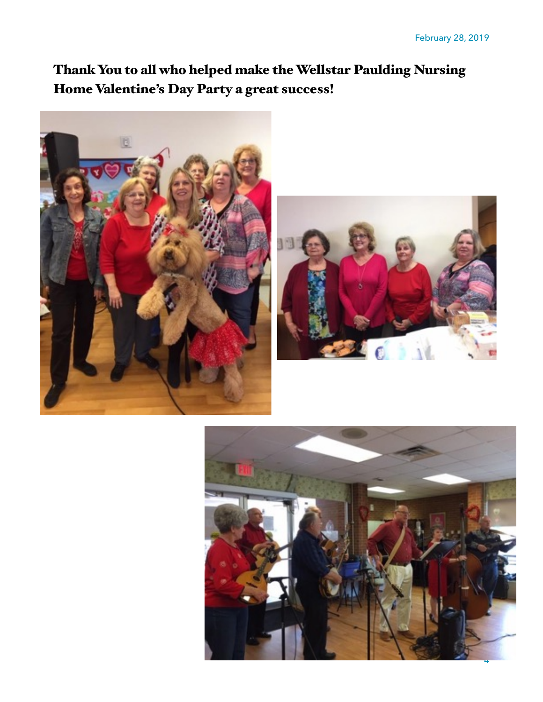# Thank You to all who helped make the Wellstar Paulding Nursing Home Valentine's Day Party a great success!